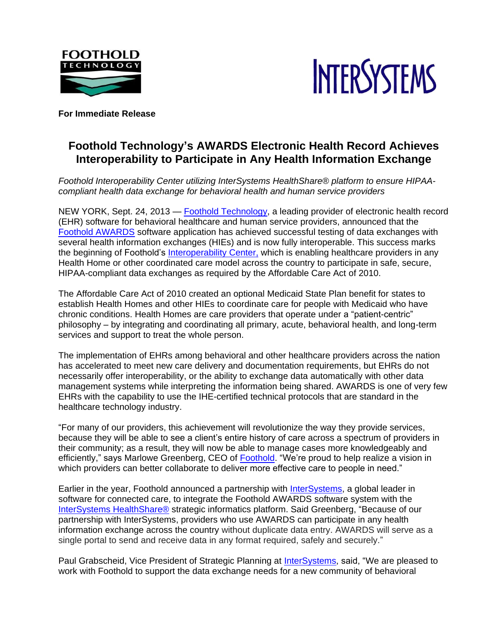



**For Immediate Release**

# **Foothold Technology's AWARDS Electronic Health Record Achieves Interoperability to Participate in Any Health Information Exchange**

*Foothold Interoperability Center utilizing InterSystems HealthShare® platform to ensure HIPAAcompliant health data exchange for behavioral health and human service providers*

NEW YORK, Sept. 24, 2013 — [Foothold Technology,](http://www.footholdtechnology.com/) a leading provider of electronic health record (EHR) software for behavioral healthcare and human service providers, announced that the [Foothold AWARDS](http://footholdtechnology.com/awards-software/products-main/) software application has achieved successful testing of data exchanges with several health information exchanges (HIEs) and is now fully interoperable. This success marks the beginning of Foothold's [Interoperability Center,](http://footholdtechnology.com/awards-software/interoperability/) which is enabling healthcare providers in any Health Home or other coordinated care model across the country to participate in safe, secure, HIPAA-compliant data exchanges as required by the Affordable Care Act of 2010.

The Affordable Care Act of 2010 created an optional Medicaid State Plan benefit for states to establish Health Homes and other HIEs to coordinate care for people with Medicaid who have chronic conditions. Health Homes are care providers that operate under a "patient-centric" philosophy – by integrating and coordinating all primary, acute, behavioral health, and long-term services and support to treat the whole person.

The implementation of EHRs among behavioral and other healthcare providers across the nation has accelerated to meet new care delivery and documentation requirements, but EHRs do not necessarily offer interoperability, or the ability to exchange data automatically with other data management systems while interpreting the information being shared. AWARDS is one of very few EHRs with the capability to use the IHE-certified technical protocols that are standard in the healthcare technology industry.

"For many of our providers, this achievement will revolutionize the way they provide services, because they will be able to see a client's entire history of care across a spectrum of providers in their community; as a result, they will now be able to manage cases more knowledgeably and efficiently," says Marlowe Greenberg, CEO of [Foothold.](http://footholdtechnology.com/) "We're proud to help realize a vision in which providers can better collaborate to deliver more effective care to people in need."

Earlier in the year, Foothold announced a partnership with [InterSystems,](http://www.intersystems.com/) a global leader in software for connected care, to integrate the Foothold AWARDS software system with the [InterSystems HealthShare®](http://www.intersystems.com/healthshare) strategic informatics platform. Said Greenberg, "Because of our partnership with InterSystems, providers who use AWARDS can participate in any health information exchange across the country without duplicate data entry. AWARDS will serve as a single portal to send and receive data in any format required, safely and securely."

Paul Grabscheid, Vice President of Strategic Planning at [InterSystems,](http://www.intersystems.com/) said, "We are pleased to work with Foothold to support the data exchange needs for a new community of behavioral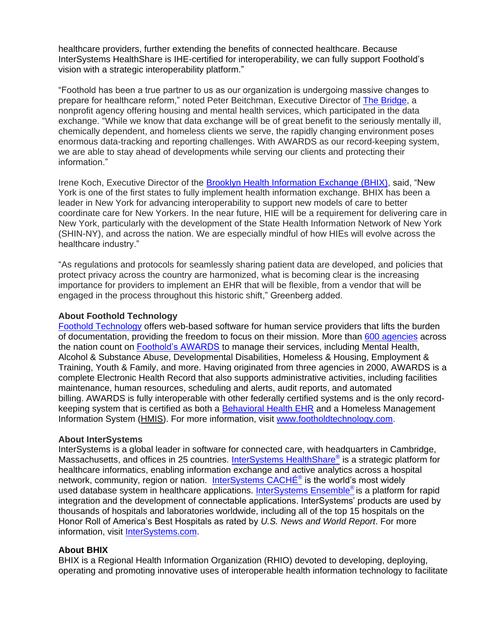healthcare providers, further extending the benefits of connected healthcare. Because InterSystems HealthShare is IHE-certified for interoperability, we can fully support Foothold's vision with a strategic interoperability platform."

"Foothold has been a true partner to us as our organization is undergoing massive changes to prepare for healthcare reform," noted Peter Beitchman, Executive Director of [The Bridge,](http://thebridgeny.org/) a nonprofit agency offering housing and mental health services, which participated in the data exchange. "While we know that data exchange will be of great benefit to the seriously mentally ill, chemically dependent, and homeless clients we serve, the rapidly changing environment poses enormous data-tracking and reporting challenges. With AWARDS as our record-keeping system, we are able to stay ahead of developments while serving our clients and protecting their information."

Irene Koch, Executive Director of the **Brooklyn Health Information Exchange (BHIX)**, said, "New York is one of the first states to fully implement health information exchange. BHIX has been a leader in New York for advancing interoperability to support new models of care to better coordinate care for New Yorkers. In the near future, HIE will be a requirement for delivering care in New York, particularly with the development of the State Health Information Network of New York (SHIN-NY), and across the nation. We are especially mindful of how HIEs will evolve across the healthcare industry."

"As regulations and protocols for seamlessly sharing patient data are developed, and policies that protect privacy across the country are harmonized, what is becoming clear is the increasing importance for providers to implement an EHR that will be flexible, from a vendor that will be engaged in the process throughout this historic shift," Greenberg added.

### **About Foothold Technology**

[Foothold Technology](http://footholdtechnology.com/) offers web-based software for human service providers that lifts the burden of documentation, providing the freedom to focus on their mission. More than [600 agencies](http://footholdtechnology.com/clients-partners/clients/) across the nation count on [Foothold's AWARDS](http://footholdtechnology.com/awards-software/products-main/) to manage their services, including Mental Health, Alcohol & Substance Abuse, Developmental Disabilities, Homeless & Housing, Employment & Training, Youth & Family, and more. Having originated from three agencies in 2000, AWARDS is a complete Electronic Health Record that also supports administrative activities, including facilities maintenance, human resources, scheduling and alerts, audit reports, and automated billing. AWARDS is fully interoperable with other federally certified systems and is the only recordkeeping system that is certified as both a [Behavioral Health EHR](http://footholdtechnology.com/awards-software/demos/) and a Homeless Management Information System [\(HMIS\)](http://footholdtechnology.com/awards-software/awards-hmis/overview/). For more information, visit [www.footholdtechnology.com.](http://www.footholdtechnology.com/)

#### **About InterSystems**

InterSystems is a global leader in software for connected care, with headquarters in Cambridge, Massachusetts, and offices in 25 countries. [InterSystems HealthShare](http://www.intersystems.com/healthshare)® is a strategic platform for healthcare informatics, enabling information exchange and active analytics across a hospital network, community, region or nation. [InterSystems CACHÉ](http://www.intersystems.com/cache/index.html)® is the world's most widely used database system in healthcare applications. [InterSystems Ensemble](http://www.intersystems.com/ensemble)® is a platform for rapid integration and the development of connectable applications. InterSystems' products are used by thousands of hospitals and laboratories worldwide, including all of the top 15 hospitals on the Honor Roll of America's Best Hospitals as rated by *U.S. News and World Report*. For more information, visit [InterSystems.com.](http://www.intersystems.com/)

#### **About BHIX**

BHIX is a Regional Health Information Organization (RHIO) devoted to developing, deploying, operating and promoting innovative uses of interoperable health information technology to facilitate